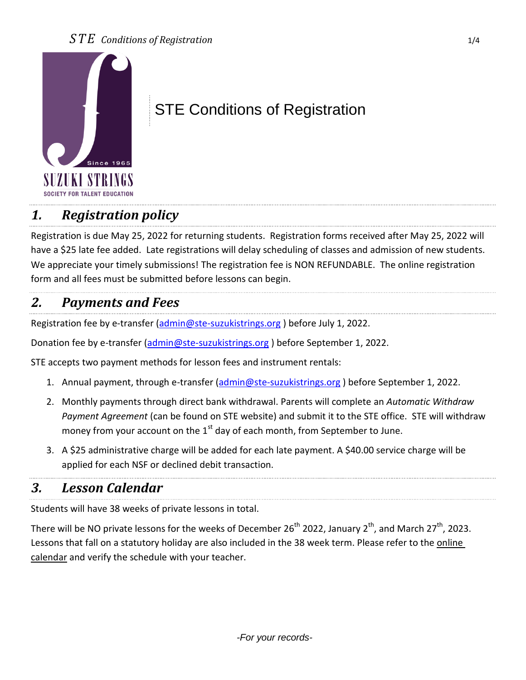

# STE Conditions of Registration

### *1. Registration policy*

Registration is due May 25, 2022 for returning students. Registration forms received after May 25, 2022 will have a \$25 late fee added. Late registrations will delay scheduling of classes and admission of new students. We appreciate your timely submissions! The registration fee is NON REFUNDABLE. The online registration form and all fees must be submitted before lessons can begin.

#### *2. Payments and Fees*

Registration fee by e-transfer [\(admin@ste-suzukistrings.org](mailto:admin@ste-suzukistrings.org)) before July 1, 2022.

Donation fee by e-transfer [\(admin@ste-suzukistrings.org](mailto:admin@ste-suzukistrings.org)) before September 1, 2022.

STE accepts two payment methods for lesson fees and instrument rentals:

- 1. Annual payment, through e-transfer [\(admin@ste-suzukistrings.org](mailto:admin@ste-suzukistrings.org)) before September 1, 2022.
- 2. Monthly payments through direct bank withdrawal. Parents will complete an *Automatic Withdraw Payment Agreement* (can be found on STE website) and submit it to the STE office. STE will withdraw money from your account on the  $1<sup>st</sup>$  day of each month, from September to June.
- 3. A \$25 administrative charge will be added for each late payment. A \$40.00 service charge will be applied for each NSF or declined debit transaction.

#### *3. Lesson Calendar*

Students will have 38 weeks of private lessons in total.

There will be NO private lessons for the weeks of December 26<sup>th</sup> 2022, January 2<sup>th</sup>, and March 27<sup>th</sup>, 2023. Lessons that fall on a statutory holiday are also included in the 38 week term. Please refer to the online calendar and verify the schedule with your teacher.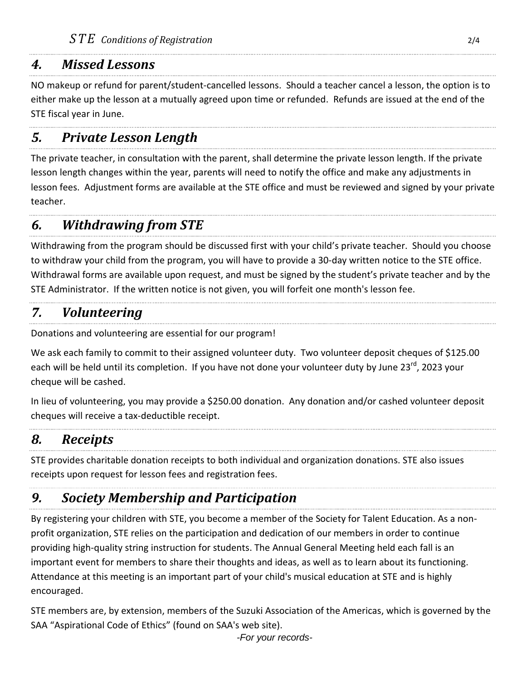#### *4. Missed Lessons*

NO makeup or refund for parent/student-cancelled lessons. Should a teacher cancel a lesson, the option is to either make up the lesson at a mutually agreed upon time or refunded. Refunds are issued at the end of the STE fiscal year in June.

### *5. Private Lesson Length*

The private teacher, in consultation with the parent, shall determine the private lesson length. If the private lesson length changes within the year, parents will need to notify the office and make any adjustments in lesson fees. Adjustment forms are available at the STE office and must be reviewed and signed by your private teacher.

#### *6. Withdrawing from STE*

Withdrawing from the program should be discussed first with your child's private teacher. Should you choose to withdraw your child from the program, you will have to provide a 30-day written notice to the STE office. Withdrawal forms are available upon request, and must be signed by the student's private teacher and by the STE Administrator. If the written notice is not given, you will forfeit one month's lesson fee.

### *7. Volunteering*

Donations and volunteering are essential for our program!

We ask each family to commit to their assigned volunteer duty. Two volunteer deposit cheques of \$125.00 each will be held until its completion. If you have not done your volunteer duty by June 23<sup>rd</sup>, 2023 your cheque will be cashed.

In lieu of volunteering, you may provide a \$250.00 donation. Any donation and/or cashed volunteer deposit cheques will receive a tax-deductible receipt.

### *8. Receipts*

STE provides charitable donation receipts to both individual and organization donations. STE also issues receipts upon request for lesson fees and registration fees.

## *9. Society Membership and Participation*

By registering your children with STE, you become a member of the Society for Talent Education. As a nonprofit organization, STE relies on the participation and dedication of our members in order to continue providing high-quality string instruction for students. The Annual General Meeting held each fall is an important event for members to share their thoughts and ideas, as well as to learn about its functioning. Attendance at this meeting is an important part of your child's musical education at STE and is highly encouraged.

STE members are, by extension, members of the Suzuki Association of the Americas, which is governed by the SAA "Aspirational Code of Ethics" (found on SAA's web site).

*-For your records-*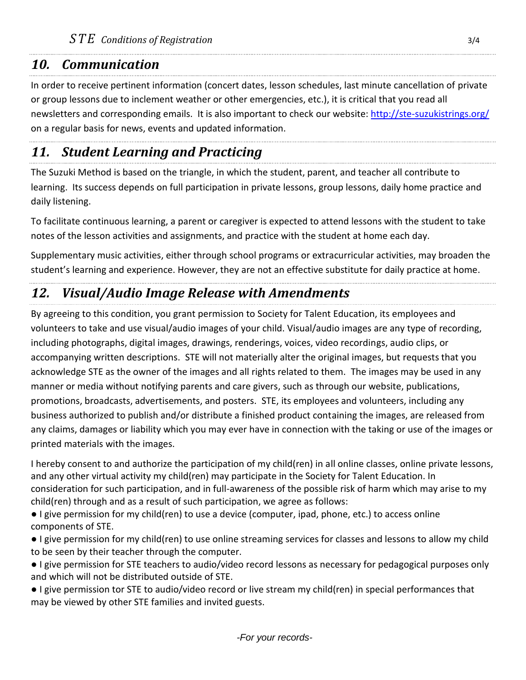#### *10. Communication*

In order to receive pertinent information (concert dates, lesson schedules, last minute cancellation of private or group lessons due to inclement weather or other emergencies, etc.), it is critical that you read all newsletters and corresponding emails. It is also important to check our website:<http://ste-suzukistrings.org/> on a regular basis for news, events and updated information.

### *11. Student Learning and Practicing*

The Suzuki Method is based on the triangle, in which the student, parent, and teacher all contribute to learning. Its success depends on full participation in private lessons, group lessons, daily home practice and daily listening.

To facilitate continuous learning, a parent or caregiver is expected to attend lessons with the student to take notes of the lesson activities and assignments, and practice with the student at home each day.

Supplementary music activities, either through school programs or extracurricular activities, may broaden the student's learning and experience. However, they are not an effective substitute for daily practice at home.

### *12. Visual/Audio Image Release with Amendments*

By agreeing to this condition, you grant permission to Society for Talent Education, its employees and volunteers to take and use visual/audio images of your child. Visual/audio images are any type of recording, including photographs, digital images, drawings, renderings, voices, video recordings, audio clips, or accompanying written descriptions. STE will not materially alter the original images, but requests that you acknowledge STE as the owner of the images and all rights related to them. The images may be used in any manner or media without notifying parents and care givers, such as through our website, publications, promotions, broadcasts, advertisements, and posters. STE, its employees and volunteers, including any business authorized to publish and/or distribute a finished product containing the images, are released from any claims, damages or liability which you may ever have in connection with the taking or use of the images or printed materials with the images.

I hereby consent to and authorize the participation of my child(ren) in all online classes, online private lessons, and any other virtual activity my child(ren) may participate in the Society for Talent Education. In consideration for such participation, and in full-awareness of the possible risk of harm which may arise to my child(ren) through and as a result of such participation, we agree as follows:

● I give permission for my child(ren) to use a device (computer, ipad, phone, etc.) to access online components of STE.

● I give permission for my child(ren) to use online streaming services for classes and lessons to allow my child to be seen by their teacher through the computer.

● I give permission for STE teachers to audio/video record lessons as necessary for pedagogical purposes only and which will not be distributed outside of STE.

● I give permission tor STE to audio/video record or live stream my child(ren) in special performances that may be viewed by other STE families and invited guests.